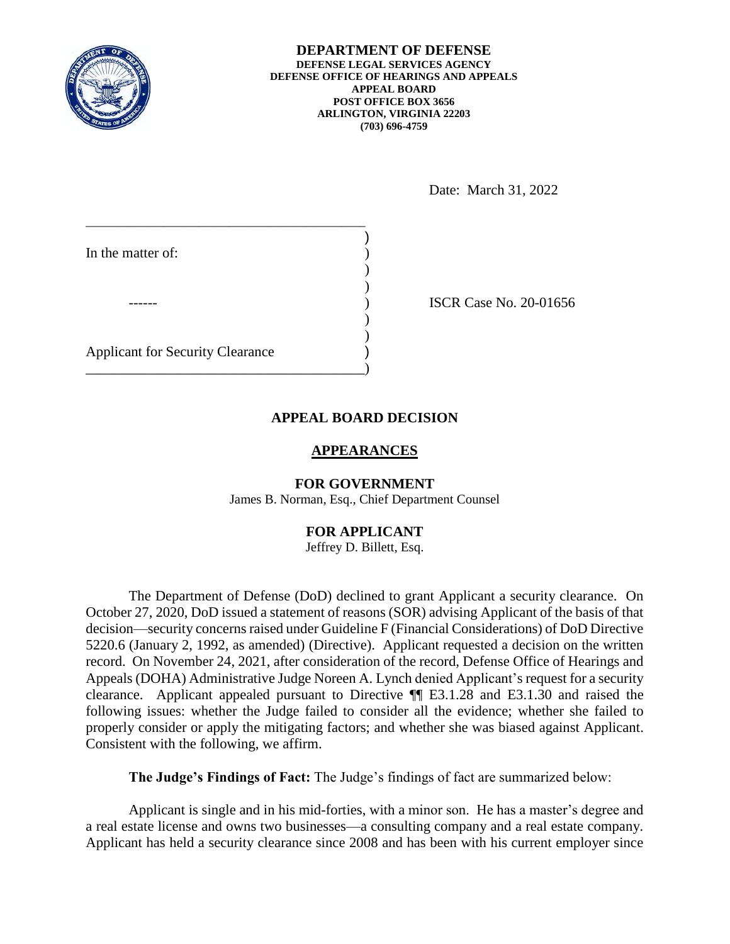

**DEPARTMENT OF DEFENSE DEFENSE LEGAL SERVICES AGENCY DEFENSE OFFICE OF HEARINGS AND APPEALS APPEAL BOARD POST OFFICE BOX 3656 ARLINGTON, VIRGINIA 22203 (703) 696-4759** 

Date: March 31, 2022

| In the matter of:                       |  |
|-----------------------------------------|--|
|                                         |  |
|                                         |  |
|                                         |  |
|                                         |  |
| <b>Applicant for Security Clearance</b> |  |

\_\_\_\_\_\_\_\_\_\_\_\_\_\_\_\_\_\_\_\_\_\_\_\_\_\_\_\_\_\_\_\_\_\_\_\_\_\_\_)

**ISCR Case No. 20-01656** 

# **APPEAL BOARD DECISION**

## **APPEARANCES**

#### **FOR GOVERNMENT**

James B. Norman, Esq., Chief Department Counsel

## **FOR APPLICANT**

#### Jeffrey D. Billett, Esq.

 The Department of Defense (DoD) declined to grant Applicant a security clearance. On October 27, 2020, DoD issued a statement of reasons (SOR) advising Applicant of the basis of that decision—security concerns raised under Guideline F (Financial Considerations) of DoD Directive 5220.6 (January 2, 1992, as amended) (Directive). Applicant requested a decision on the written record. On November 24, 2021, after consideration of the record, Defense Office of Hearings and Appeals (DOHA) Administrative Judge Noreen A. Lynch denied Applicant's request for a security clearance. Applicant appealed pursuant to Directive ¶¶ E3.1.28 and E3.1.30 and raised the following issues: whether the Judge failed to consider all the evidence; whether she failed to properly consider or apply the mitigating factors; and whether she was biased against Applicant. Consistent with the following, we affirm.

**The Judge's Findings of Fact:** The Judge's findings of fact are summarized below:

a real estate license and owns two businesses—a consulting company and a real estate company. Applicant has held a security clearance since 2008 and has been with his current employer since Applicant is single and in his mid-forties, with a minor son. He has a master's degree and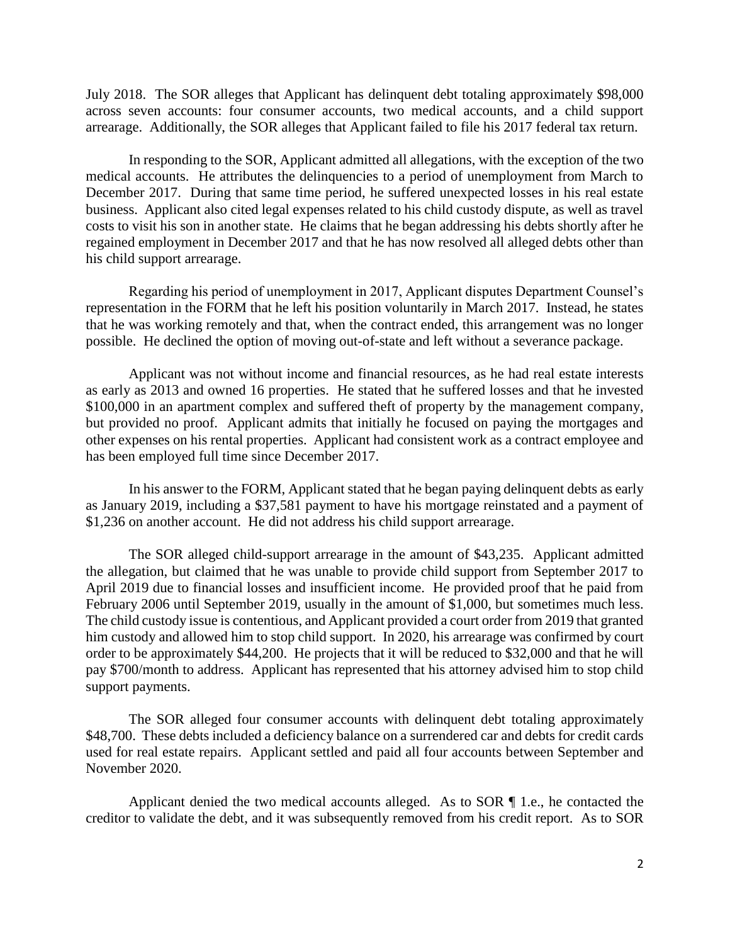July 2018. The SOR alleges that Applicant has delinquent debt totaling approximately \$98,000 across seven accounts: four consumer accounts, two medical accounts, and a child support arrearage. Additionally, the SOR alleges that Applicant failed to file his 2017 federal tax return.

 medical accounts. He attributes the delinquencies to a period of unemployment from March to business. Applicant also cited legal expenses related to his child custody dispute, as well as travel costs to visit his son in another state. He claims that he began addressing his debts shortly after he regained employment in December 2017 and that he has now resolved all alleged debts other than In responding to the SOR, Applicant admitted all allegations, with the exception of the two December 2017. During that same time period, he suffered unexpected losses in his real estate his child support arrearage.

 Regarding his period of unemployment in 2017, Applicant disputes Department Counsel's that he was working remotely and that, when the contract ended, this arrangement was no longer representation in the FORM that he left his position voluntarily in March 2017. Instead, he states possible. He declined the option of moving out-of-state and left without a severance package.

 as early as 2013 and owned 16 properties. He stated that he suffered losses and that he invested \$100,000 in an apartment complex and suffered theft of property by the management company, but provided no proof. Applicant admits that initially he focused on paying the mortgages and other expenses on his rental properties. Applicant had consistent work as a contract employee and Applicant was not without income and financial resources, as he had real estate interests has been employed full time since December 2017.

 as January 2019, including a \$37,581 payment to have his mortgage reinstated and a payment of \$1,236 on another account. He did not address his child support arrearage. In his answer to the FORM, Applicant stated that he began paying delinquent debts as early

 the allegation, but claimed that he was unable to provide child support from September 2017 to April 2019 due to financial losses and insufficient income. He provided proof that he paid from The child custody issue is contentious, and Applicant provided a court order from 2019 that granted him custody and allowed him to stop child support. In 2020, his arrearage was confirmed by court order to be approximately \$44,200. He projects that it will be reduced to \$32,000 and that he will support payments. The SOR alleged child-support arrearage in the amount of \$43,235. Applicant admitted February 2006 until September 2019, usually in the amount of \$1,000, but sometimes much less. pay \$700/month to address. Applicant has represented that his attorney advised him to stop child

 \$48,700. These debts included a deficiency balance on a surrendered car and debts for credit cards used for real estate repairs. Applicant settled and paid all four accounts between September and The SOR alleged four consumer accounts with delinquent debt totaling approximately November 2020.

 creditor to validate the debt, and it was subsequently removed from his credit report. As to SOR Applicant denied the two medical accounts alleged. As to SOR ¶ 1.e., he contacted the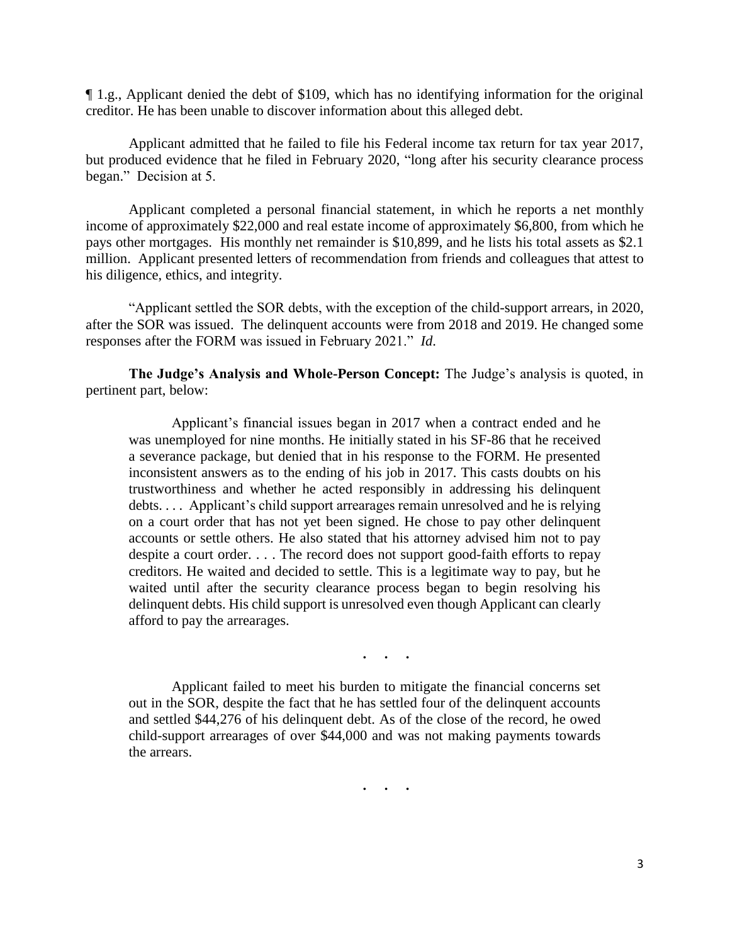¶ 1.g., Applicant denied the debt of \$109, which has no identifying information for the original creditor. He has been unable to discover information about this alleged debt.

 Applicant admitted that he failed to file his Federal income tax return for tax year 2017, but produced evidence that he filed in February 2020, "long after his security clearance process began." Decision at 5.

 Applicant completed a personal financial statement, in which he reports a net monthly pays other mortgages. His monthly net remainder is \$10,899, and he lists his total assets as \$2.1 million. Applicant presented letters of recommendation from friends and colleagues that attest to income of approximately \$22,000 and real estate income of approximately \$6,800, from which he his diligence, ethics, and integrity.

 after the SOR was issued. The delinquent accounts were from 2018 and 2019. He changed some responses after the FORM was issued in February 2021." *Id*. "Applicant settled the SOR debts, with the exception of the child-support arrears, in 2020,

 **The Judge's Analysis and Whole-Person Concept:** The Judge's analysis is quoted, in pertinent part, below:

 Applicant's financial issues began in 2017 when a contract ended and he was unemployed for nine months. He initially stated in his SF-86 that he received a severance package, but denied that in his response to the FORM. He presented trustworthiness and whether he acted responsibly in addressing his delinquent debts. . . . Applicant's child support arrearages remain unresolved and he is relying on a court order that has not yet been signed. He chose to pay other delinquent accounts or settle others. He also stated that his attorney advised him not to pay despite a court order. . . . The record does not support good-faith efforts to repay waited until after the security clearance process began to begin resolving his delinquent debts. His child support is unresolved even though Applicant can clearly inconsistent answers as to the ending of his job in 2017. This casts doubts on his creditors. He waited and decided to settle. This is a legitimate way to pay, but he afford to pay the arrearages.

**. . .** 

 Applicant failed to meet his burden to mitigate the financial concerns set out in the SOR, despite the fact that he has settled four of the delinquent accounts child-support arrearages of over \$44,000 and was not making payments towards and settled \$44,276 of his delinquent debt. As of the close of the record, he owed the arrears.

 **. . .**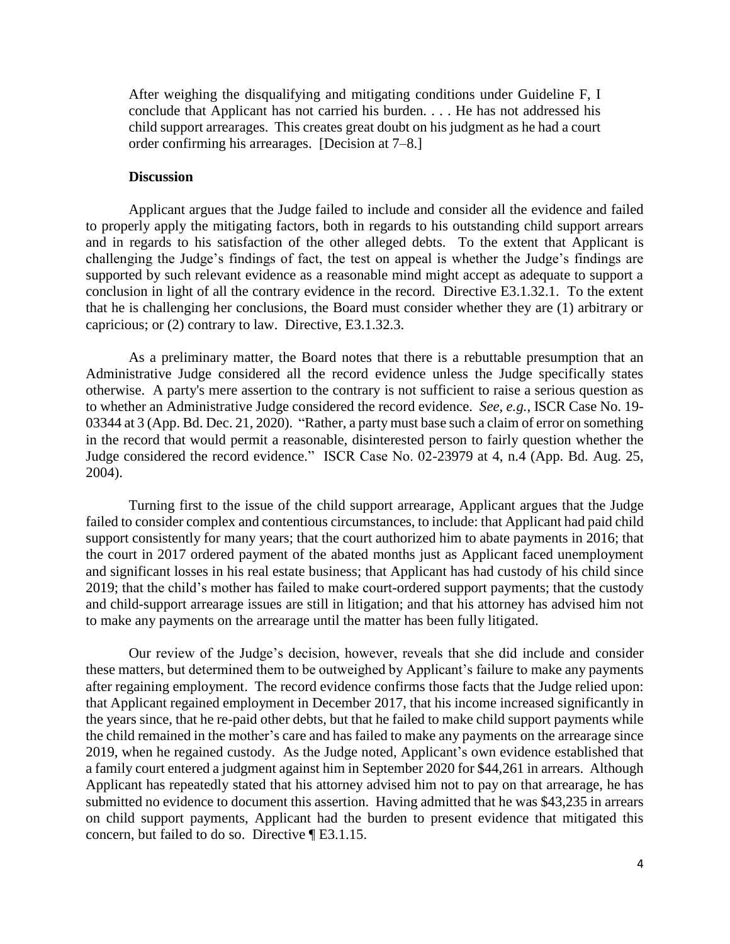After weighing the disqualifying and mitigating conditions under Guideline F, I conclude that Applicant has not carried his burden. . . . He has not addressed his child support arrearages. This creates great doubt on his judgment as he had a court order confirming his arrearages. [Decision at 7–8.]

### **Discussion**

 Applicant argues that the Judge failed to include and consider all the evidence and failed to properly apply the mitigating factors, both in regards to his outstanding child support arrears challenging the Judge's findings of fact, the test on appeal is whether the Judge's findings are supported by such relevant evidence as a reasonable mind might accept as adequate to support a conclusion in light of all the contrary evidence in the record. Directive E3.1.32.1. To the extent that he is challenging her conclusions, the Board must consider whether they are (1) arbitrary or and in regards to his satisfaction of the other alleged debts. To the extent that Applicant is capricious; or (2) contrary to law. Directive, E3.1.32.3.

 As a preliminary matter, the Board notes that there is a rebuttable presumption that an Administrative Judge considered all the record evidence unless the Judge specifically states otherwise. A party's mere assertion to the contrary is not sufficient to raise a serious question as to whether an Administrative Judge considered the record evidence. *See, e.g.*, ISCR Case No. 19- 03344 at 3 (App. Bd. Dec. 21, 2020). "Rather, a party must base such a claim of error on something in the record that would permit a reasonable, disinterested person to fairly question whether the Judge considered the record evidence." ISCR Case No. 02-23979 at 4, n.4 (App. Bd. Aug. 25,  $2004$ ). 2004). Turning first to the issue of the child support arrearage, Applicant argues that the Judge

 and child-support arrearage issues are still in litigation; and that his attorney has advised him not to make any payments on the arrearage until the matter has been fully litigated. failed to consider complex and contentious circumstances, to include: that Applicant had paid child support consistently for many years; that the court authorized him to abate payments in 2016; that the court in 2017 ordered payment of the abated months just as Applicant faced unemployment and significant losses in his real estate business; that Applicant has had custody of his child since 2019; that the child's mother has failed to make court-ordered support payments; that the custody

 these matters, but determined them to be outweighed by Applicant's failure to make any payments after regaining employment. The record evidence confirms those facts that the Judge relied upon: the years since, that he re-paid other debts, but that he failed to make child support payments while the child remained in the mother's care and has failed to make any payments on the arrearage since 2019, when he regained custody. As the Judge noted, Applicant's own evidence established that a family court entered a judgment against him in September 2020 for \$44,261 in arrears. Although Applicant has repeatedly stated that his attorney advised him not to pay on that arrearage, he has submitted no evidence to document this assertion. Having admitted that he was \$43,235 in arrears concern, but failed to do so. Directive ¶ E3.1.15. Our review of the Judge's decision, however, reveals that she did include and consider that Applicant regained employment in December 2017, that his income increased significantly in on child support payments, Applicant had the burden to present evidence that mitigated this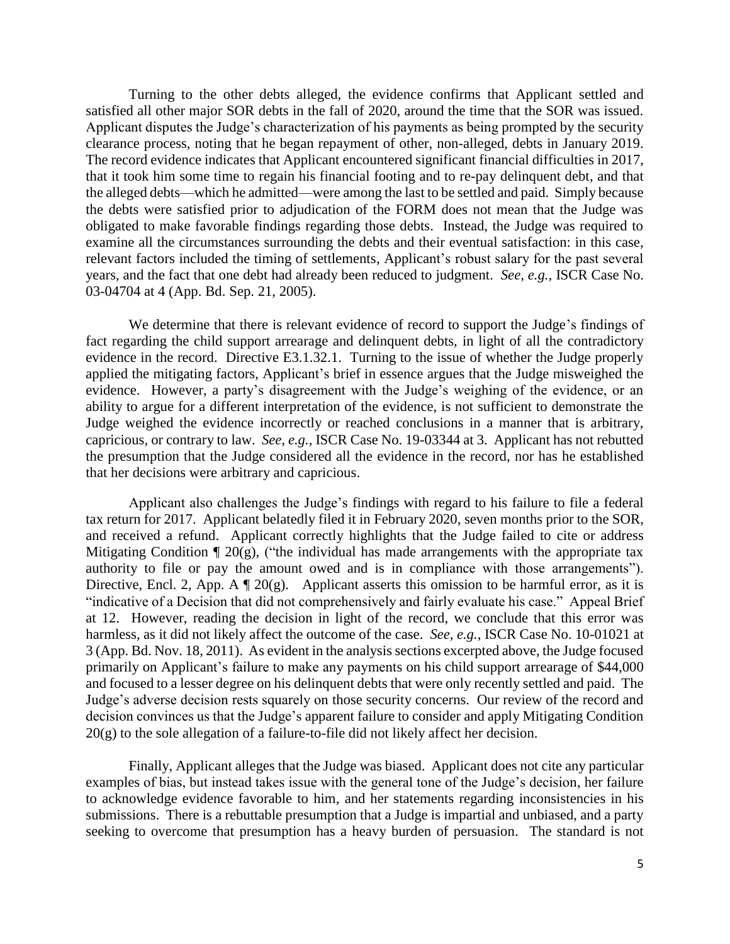Turning to the other debts alleged, the evidence confirms that Applicant settled and satisfied all other major SOR debts in the fall of 2020, around the time that the SOR was issued. Applicant disputes the Judge's characterization of his payments as being prompted by the security that it took him some time to regain his financial footing and to re-pay delinquent debt, and that the alleged debts—which he admitted—were among the last to be settled and paid. Simply because obligated to make favorable findings regarding those debts. Instead, the Judge was required to relevant factors included the timing of settlements, Applicant's robust salary for the past several years, and the fact that one debt had already been reduced to judgment. *See, e.g.,* ISCR Case No. 03-04704 at 4 (App. Bd. Sep. 21, 2005). 03-04704 at 4 (App. Bd. Sep. 21, 2005). We determine that there is relevant evidence of record to support the Judge's findings of clearance process, noting that he began repayment of other, non-alleged, debts in January 2019. The record evidence indicates that Applicant encountered significant financial difficulties in 2017, the debts were satisfied prior to adjudication of the FORM does not mean that the Judge was examine all the circumstances surrounding the debts and their eventual satisfaction: in this case,

 evidence in the record. Directive E3.1.32.1. Turning to the issue of whether the Judge properly applied the mitigating factors, Applicant's brief in essence argues that the Judge misweighed the ability to argue for a different interpretation of the evidence, is not sufficient to demonstrate the capricious, or contrary to law. *See, e.g.*, ISCR Case No. 19-03344 at 3. Applicant has not rebutted fact regarding the child support arrearage and delinquent debts, in light of all the contradictory evidence. However, a party's disagreement with the Judge's weighing of the evidence, or an Judge weighed the evidence incorrectly or reached conclusions in a manner that is arbitrary, the presumption that the Judge considered all the evidence in the record, nor has he established that her decisions were arbitrary and capricious.

 Applicant also challenges the Judge's findings with regard to his failure to file a federal tax return for 2017. Applicant belatedly filed it in February 2020, seven months prior to the SOR, authority to file or pay the amount owed and is in compliance with those arrangements"). Directive, Encl. 2, App. A  $\mathbb{I}$  20(g). Applicant asserts this omission to be harmful error, as it is "indicative of a Decision that did not comprehensively and fairly evaluate his case." Appeal Brief at 12. However, reading the decision in light of the record, we conclude that this error was harmless, as it did not likely affect the outcome of the case. *See, e.g.*, ISCR Case No. 10-01021 at 3 (App. Bd. Nov. 18, 2011). As evident in the analysis sections excerpted above, the Judge focused primarily on Applicant's failure to make any payments on his child support arrearage of \$44,000 and focused to a lesser degree on his delinquent debts that were only recently settled and paid. The Judge's adverse decision rests squarely on those security concerns. Our review of the record and and received a refund. Applicant correctly highlights that the Judge failed to cite or address Mitigating Condition  $\P$  20(g), ("the individual has made arrangements with the appropriate tax decision convinces us that the Judge's apparent failure to consider and apply Mitigating Condition 20(g) to the sole allegation of a failure-to-file did not likely affect her decision.

 Finally, Applicant alleges that the Judge was biased. Applicant does not cite any particular to acknowledge evidence favorable to him, and her statements regarding inconsistencies in his submissions. There is a rebuttable presumption that a Judge is impartial and unbiased, and a party seeking to overcome that presumption has a heavy burden of persuasion. The standard is not examples of bias, but instead takes issue with the general tone of the Judge's decision, her failure